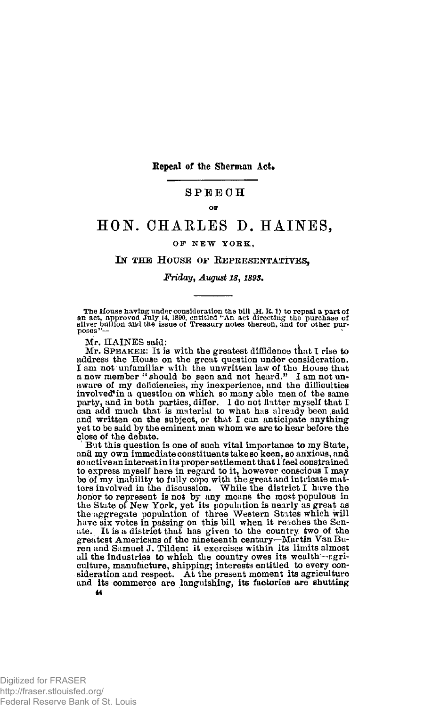**Repeal of the Sherman Act.** 

### **SPEEC H**

#### **OF**

# **HON. CHAKLES D. HAINES,**

#### **OP NE W YORK ,**

## IN THE HOUSE OF REPRESENTATIVES,

#### *Friday, August 18 > 189\$.*

The House having under consideration the bill  $\overline{H}$ . R. i) to repeal a part of an act, approved July 14, 1890, entitled "An act directing the purchase of fillron and the issue of Treasury notes thereon, and for other p

Mr. HAINES said:

Mr. SPEAKER: It is with the greatest diffidence that I rise to address the House on the great question under consideration. I am not unfamiliar with the unwritten law of the House that a new member " should be seen and not heard." I am not unaware of my deficiencies, my inexperience, and the difficulties<br>involved? in a question on which so many able men of the same<br>party, and in both parties, differ. I do not flatter myself that I can add much that is material to what has already been ,said and written on the subject, or that I can anticipate anything yet to be said by the eminent men whom we are to hear before the close of the debate.

But this question is one of such vital importance to my State, and my own immediate constituents take so keen, so anxious, and  ${\bf so}$  active an interest in its proper settlement that I feel constrained to express myself here in regard to it, however conscious I may be of my inability to fully cope with the great and intricate mat-ters involved in the discussion. While the district I have the honor to represent is not by any means the most populous in the State of New York, yet its population is nearly as great as the aggregate population of three Western States which will have six votes in passing on this bill when it reaches the Sentate. It is a district that has given to the country two of the greatest Americans of the nineteenth all the industries to which the country owes its wealth—agriculture, manufacture, shipping; interests entitled to every consideration and respect. At the present moment its agriculture and its commerce are languishing, its factories are shutting *u* 

Digitized for FRASER http://fraser.stlouisfed.org/ Federal Reserve Bank of St. Louis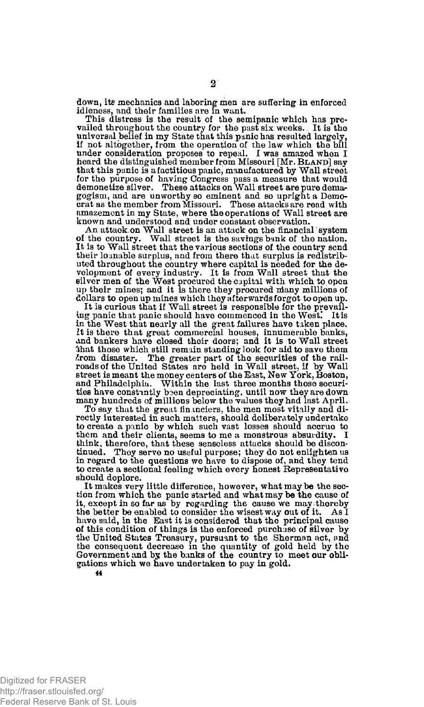down, its mechanics and laboring men are suffering in enforced idleness, and their families are in want.

This distress is the result of the semipanic which has prevailed throughout the country for the past six weeks. It is the universal belief in my State that this panic has resulted largely, if not altogether, from the operation of the law which the bill under consideration proposes to repeal. I was amazed when I heard the distinguished member from Missouri [Mr. BLAND] say that this panic is afactitious panic, manufactured by Wall street for the purpose of having Congress pass a measure that would demonetize silver. These attacks on Wall street are pure demagogism, and are unworthy so eminent and so upright a Democrat as the member from Missouri. These attacks are read with amazement in my State, where the operations of Wall street are known and understood and under constant observation.

An attack on Wall street is an attack on the financial system of the country. Wall street is the savings bank of the nation. Wall street is the savings bank of the nation. It is to Wall street that the various sections of the country send their loanable surplus, and from there that surplus is redistributed throughout the country where capital is needed for the de-velopment of every industry. It is from Wall street that the silver men of the West procured the capital with which to open up their mines; and it is there they procured many millions of dollars to open up mines which they afterwards forgot to open up.

It is curious that if Wall street is responsible for the prevailing panic that panic should have commenced in the West! It is in the West that nearly all the great failures have taken place. It is there that great commercial houses, innumerable banks, and bankers have closed their doors; and it is to Wall street 3hat those which still remain standing look for aid to save them Arom disaster. The greater part of the securities of the rail-roads of the United States are held in Wall, street, if by Wall street is meant the money centers of the East, New York, Boston, and Philadelphia. Within the last three months those securities have constantly been depreciating, until now they are down many hundreds of millions below the values they had last April.

To say that the great financiers, the men most vitally and directly interested in such matters, should deliberately undertake to create a panic by which such vast losses should accrue to them and their clients, seems to me a monstrous absurdity. I think, therefore, that these senseless attacks should be discontinued. They serve no useful purpose; they do not enlighten us in regard to the questions we have to dispose of, and they tend to create a sectional feeling which every honest Representative should deplore.

It makes very little difference, however, what may be the section from which the panic started and what may be the cause of it, except in so far as by regarding the cause we may thereby the better be enabled to consider the wisest way out of it. As I have said, in the East it is considered that the principal cause of this condition of things is the enforced purchase of silver by the United States Treasury, pursuant to the Sherman act, and the consequent decrease in the quantity of gold held by the Government and by the banks of the country to meet our obligations which we have undertaken to pay in gold.

**2**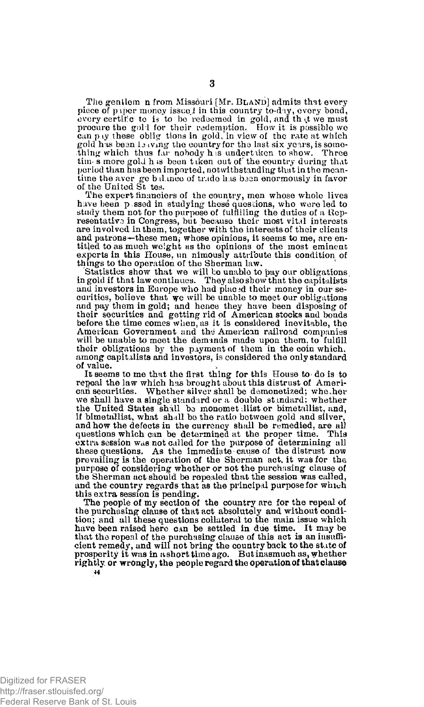The genilem n from Missouri [Mr. BLAND] admits that every piece of p iper money issued in this country to-day, every bond, every certific te is to be redeemed in gold, and that we must<br>procure the gold for their redemption. How it is possible we<br>can pay these oblig tions in gold, in view of the rate at which gold has been 1*3* iving the country for the last six years, is some-<br>thing which thus far nobody h is undertaken to show. Three tim- s more gold h is been t iken out of the country during that period than has been imported, notwithstanding that in the meantime the aver ge b iLmce of trade lias baan enormously in favor of the United St tes.

The expert financiers of the country, men whose whole lives have been p ssed in studying these questions, who were led to study them not for the purpose of fulfilling the duties of a Rep-<br>resentative in Congress, but because their most vital interests<br>are involved in them, together with the interests of their clients and patrons-these men, whose opinions, it seems to me, are entitled to as much weight as the opinions of the most eminent experts in this House, un nimously attribute this condition of things to the operation of the Sherman law.

Statistics show that we will be unable to pay our obligations in gold if that law continues. They also show that the capitalists and investors in Europe who had placed their money in our securities, believe that we will be unable to meet our obligations and pay them in gold; and hence they have been disposing of their securities and getting rid of American stocks and bonds before the time comes when, as it is considered inevitable, the American Government and the American railroad companies will be unable to meet the demands made upon them, to fulfill their obligations by the payment of them in the coin which, among capitalists and investors, is considered the only standard of value. of value.<br>It seems to me that the first thing for this House to do is to

repeal the law which has brought about this distrust of American securities. Whether silver shall be demonetized; whe her we shall have a single standard or a double standard: whether the United States shall be monomet ;llist or bimetullist, and, if bimetallist, what shall be the ratio between gold and silver, and how the defects in the currency shall be remedied, are all questions which can be determined at the proper time. This extra session was not called for the purpose of determining all these questions. As the immediate cause of the distrust now prevailing is the operation of the Sherman act, it was for the, purpose of considering whether or not the purchasing clause of the Sherman act should be repealed that the session was called, and the country regards that as the principal purpose for which this extra session is pending.

The people of my section of the country are for the repeal of the purchasing clause of that act absolutely and without condition; and all these questions collateral to the main issue which have been raised here can be settled in due time. It may be that the repeal of the purchasing clause of this act is an insuffi-cient remedy, and will not bring the country back to the state of prosperity it was in a short time ago. But inasmuch as, whether rightly, or wrongly, the people regard the operation of that clause 44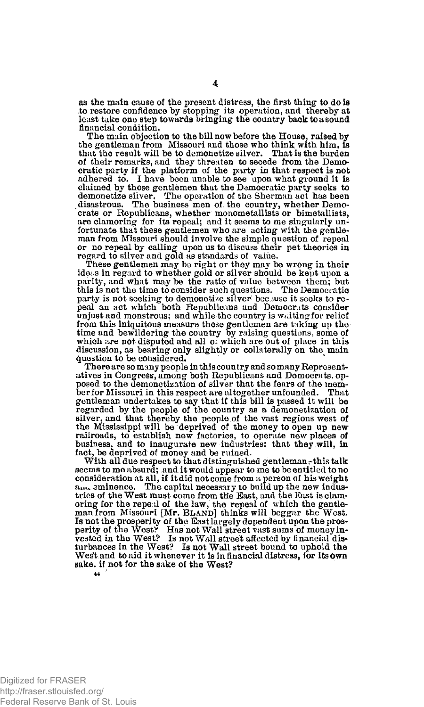as the main cause of the present distress, the first thing to do is to restore confidence by stopping- its operation, and thereby at least take one step towards bringing the country back to a sound financial condition.

The main objection to the bill now before the House, raised by the gentleman from Missouri and those who think with him, is that the result will be to demonetize silver. That is the burden of their remarks, and they threaten to secede from the Democratic party if the platform of the party in that respect is not adhered to. I have been unable to see upon what ground it is claimed by those gentlemen that the Democratic party seeks to demonetize silver. The operation of the Sherman act has been disastrous. The business men of the country, whether Democrats or Republicans, whether monometallists or bimetallists, are clamoring for its repeal; and it seems to me singularly un-<br>fortunate that these gentlemen who are acting with the gentle-<br>man from Missouri should involve the simple question of repeal or no repeal by calling upon us to discuss their pet theories in regard to silver and gold as standards of value.

These gentlemen may be right or they may be wrong in their ideas in regard to whether gold or silver should be kept upon a parity, and what may be the ratio of value between them; but this is not the time to consider such questions. The Democratic party is not seeking to demonetize silver beeluse it seeks to re-peal an act which both Republicans and Democrats consider unjust and monstrous; and while the country is waiting for relief from this iniquitous measure these gentlemen are tuking up the time and bewildering the country by raising questions, some of which are not disputed and all of which are out of place in this discussion, as bearing only slightly or collaterally on the main Question to be considered.

There are so many people in this country and so many Representatives in Congress, among both Republicans and Democrats, opposed to the demonetization of silver that the fears of the member for Missouri in this respect are altogether unfounded. That gentleman undertakes to say that if this bill is passed it will be regarded by the people of the country as a demonetization of silver, and that thereby the people of the vast regions west of the Mississippi will be deprived of the money to open up new railroads, to establish new factories, to operate new places of business, and to inaugurate new industries; that they will, in fact, be deprived of money and be ruined.

With all due respect to that distinguished gentleman, this talk seems to me absurd; and it would appear to me to be entitled to no consideration at all, if it did not come from a person of his weight eminence. The capital necessaiy to build up the new industries of the West must come from the East, and the East is clam-oring for the repeal of the law, the repeal of which the gentle-man from Missouri [Mr. BLAND] thinks will beggar the West. Is not the prosperity of the East largely dependent upon the prosperity of the West? Has not Wall street vast sums of money in-vested in the West? Is not Wall street affected by financial disturbances in the West? Is not Wall street bound to uphold the West and to aid it whenever it is in financial distress, for its own sake, if not for the sake of the West? *u*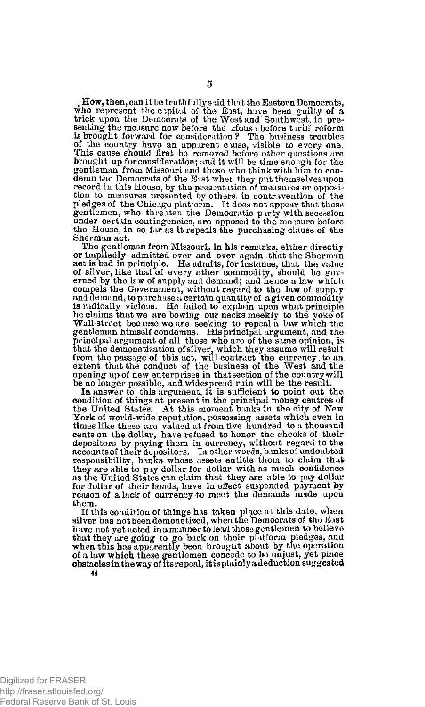. How, then, can it be truthfully said that the Eastern Democrats, who represent the c pital of the East, have been guilty of a trick upon the Democrats of the West and Southwest, in presenting the measure now before the Houss before tariif reform is brought forward for consideration? The business troubles of the country have an apparent ciuse, visible to every one. This cause should first be removed before other questions are brought up for consideration; and it will be time enough for the gentleman from Missouri and those who think with him to condemn the Democrats of the East when they put themselves upon<br>record in this House, by the presentation of measures or opposition<br>ton to measures presented by others, in contravention of the<br>pledges of the Chicago platform. gentlemen, who threaten the Democratic pirty with secession under certain contingencies, are opposed to the me isure before the House, in so far as it repeals the purchasing clause of the Sherman act.

The gentleman from Missouri, in his remarks, either directly or impliedly admitted over and over again that the Sherman act is bad in principle. He admits, for instance, that the value of silver, like that of every other commodity, should be governed by the law of supply and demand; and hence a law which compels the Government, without regard to the law of supply and demand, to purchase a certain quantity of a given commodity is radically vicious. He failed to explain upon what principle he claims that we are bowing our necks meekly to the yoke of Wall street because we are seeking to repeal a law which the gentleman himself condemns. His principal argument, and the principal argument of all those who are of the same opinion, is that the demonetization of silver, which they assume will result from the passage of this act, will contract the currency, to an. extent that the conduct of the business of the West and the opening up of new enterprises in thatseetion of the country will be no longer possible, and widespread ruin will be the result.

In answer to this argument, it is sufficient to point out the condition of things at present in the principal money centres of the United States. At this moment banks in the city of New York of world-wide reputation, possessing assets which even in times like these are valued at from five hundred to a thousand cents on the dollar, have refused to honor the checks of their depositors by paying them in currency, without regard to the accountsof their depositors. In other words, banks of undoubted responsibility, banks whose assets entitle-them to claim that they are able to pay dollar for dollar with as much confidence as the United States can claim that they are able to pay dollar for dollar of their bonds, have in effect suspended payment by reason of a lack of currency to meet the demands made upon them.

If this condition of things has taken place at this date, when silver has not been demonetized, when the Democrats of the East have not yet acted inamannertole id these gentlemen to believe that they are going to go back on their platform pledges, and when this has apparently been brought about by the operation of a law which these gentlemen concede to be unjust, yet place obstacles in the way of its repeal, it is plainly a deduction sugges ted **44** 

Digitized for FRASER http://fraser.stlouisfed.org/ Federal Reserve Bank of St. Louis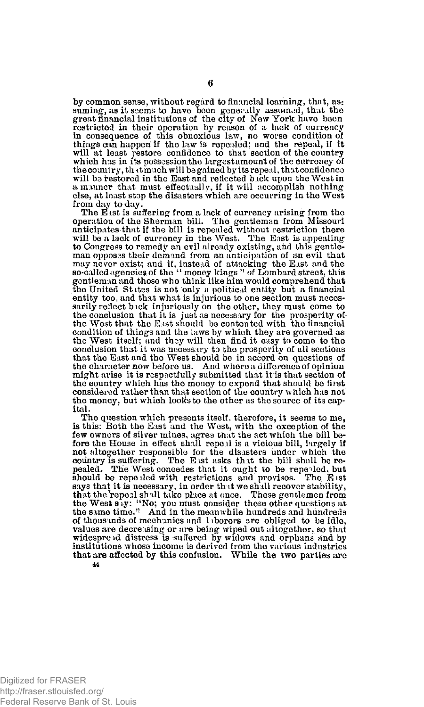by common sense, without regard to financial learning, that, as: suming, as it seems to have been generally assumed, that the great financial institutions of the city of New York have been<br>restricted in their operation by reason of a lack of currency<br>in consequence of this obnoxious law, no worse condition of<br>things can happen'if the law is repea will at least restore confidence to that section of the country which has in its possession the largest amount of the currency of the country, the timuch will be gained by its repeal, that contidence will be restored in the East and reflected back upon the West in a manner that must effectually, if it will accomplish nothing else, at least stop the disasters which are occurring in the West from day to day.

The East is suffering from a lack of currency arising from the operation of the Sherman bill. The gentleman from Missouri anticipates that if the bill is repealed without restriction there will be a lack of currency in the to Congress to remedy an evil already existing, ahd this gentleman opposas their demand from an anticipation of an evil that may never exist; and if, instead of attacking the East and the so-called agencies of the " money kings " of Lombard street, this gentleman and those who think like him would comprehend that the United St itss is not only a political entity but a financial entity too, and that what is injurious to one section must necessarily reflect back injuriously on the other, they must come to the conclusion that it is just as necessary for the prosperity of the West that the East should be contented with the financial condition of things and the laws by which they are governed as the West itself; and they will then find it easy to come to the conclusion that it was necessary to the prosperity of all sections that the East and the West should be in accord on questions of the character now before us. And where a difference of opinion might arise it is respactfully submitted that it is that section of the country which has the money to expend that should be first considered rather than that section of the oountry which has not the money, but which looks to the other as the source of its capital.

The question which presents itself, therefore, it seems to me, is this: Both the East and the West, with the exception of the few owners of silver mines, agree that the act which the bill before the House in effect shall repeal is a vicious bill, largely if not altogether responsible for the disasters under which the country is suffering. The East asks that the bill shall be repealed. The pealed, but should be repealed with restrictions and provisos. The Eist says that it is necessary, in order that we shall recover stability,<br>that the repeal shall take place at once. These gentlemen from<br>the West say: "No; you must consider these other questions at<br>the same time." And in the m of thousands of mechanics and laborers are obliged to be idle, values are decreasing or are being wiped out altogether, so that widespread distress is suffered by widows and orphans and by institutions whose income is derived from the various industries that are affected by this confusion. While the two parties are **44**